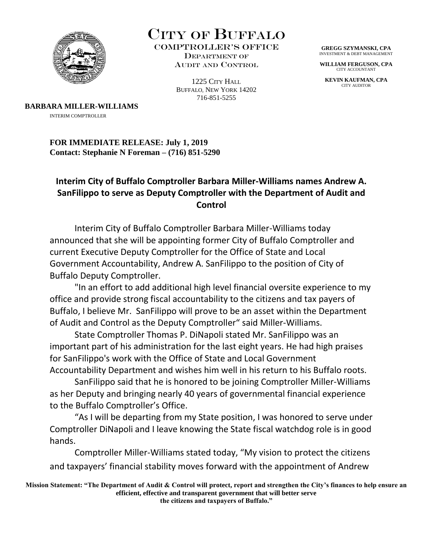

CITY OF BUFFALO

Comptroller's Office Department of AUDIT AND CONTROL

> 1225 CITY HALL BUFFALO, NEW YORK 14202 716-851-5255

**GREGG SZYMANSKI, CPA** INVESTMENT & DEBT MANAGEMENT

**WILLIAM FERGUSON, CPA** CITY ACCOUNTANT

**KEVIN KAUFMAN, CPA** CITY AUDITOR

**BARBARA MILLER-WILLIAMS** 

INTERIM COMPTROLLER

**FOR IMMEDIATE RELEASE: July 1, 2019 Contact: Stephanie N Foreman – (716) 851-5290** 

## **Interim City of Buffalo Comptroller Barbara Miller-Williams names Andrew A. SanFilippo to serve as Deputy Comptroller with the Department of Audit and Control**

Interim City of Buffalo Comptroller Barbara Miller-Williams today announced that she will be appointing former City of Buffalo Comptroller and current Executive Deputy Comptroller for the Office of State and Local Government Accountability, Andrew A. SanFilippo to the position of City of Buffalo Deputy Comptroller.

"In an effort to add additional high level financial oversite experience to my office and provide strong fiscal accountability to the citizens and tax payers of Buffalo, I believe Mr. SanFilippo will prove to be an asset within the Department of Audit and Control as the Deputy Comptroller" said Miller-Williams.

State Comptroller Thomas P. DiNapoli stated Mr. SanFilippo was an important part of his administration for the last eight years. He had high praises for SanFilippo's work with the Office of State and Local Government Accountability Department and wishes him well in his return to his Buffalo roots.

SanFilippo said that he is honored to be joining Comptroller Miller-Williams as her Deputy and bringing nearly 40 years of governmental financial experience to the Buffalo Comptroller's Office.

"As I will be departing from my State position, I was honored to serve under Comptroller DiNapoli and I leave knowing the State fiscal watchdog role is in good hands.

Comptroller Miller-Williams stated today, "My vision to protect the citizens and taxpayers' financial stability moves forward with the appointment of Andrew

**Mission Statement: "The Department of Audit & Control will protect, report and strengthen the City's finances to help ensure an efficient, effective and transparent government that will better serve the citizens and taxpayers of Buffalo."**